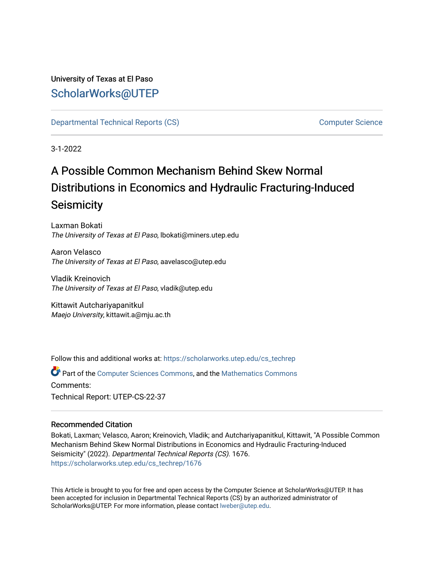# University of Texas at El Paso [ScholarWorks@UTEP](https://scholarworks.utep.edu/)

[Departmental Technical Reports \(CS\)](https://scholarworks.utep.edu/cs_techrep) [Computer Science](https://scholarworks.utep.edu/computer) 

3-1-2022

# A Possible Common Mechanism Behind Skew Normal Distributions in Economics and Hydraulic Fracturing-Induced **Seismicity**

Laxman Bokati The University of Texas at El Paso, lbokati@miners.utep.edu

Aaron Velasco The University of Texas at El Paso, aavelasco@utep.edu

Vladik Kreinovich The University of Texas at El Paso, vladik@utep.edu

Kittawit Autchariyapanitkul Maejo University, kittawit.a@mju.ac.th

Follow this and additional works at: [https://scholarworks.utep.edu/cs\\_techrep](https://scholarworks.utep.edu/cs_techrep?utm_source=scholarworks.utep.edu%2Fcs_techrep%2F1676&utm_medium=PDF&utm_campaign=PDFCoverPages) 

Part of the [Computer Sciences Commons](http://network.bepress.com/hgg/discipline/142?utm_source=scholarworks.utep.edu%2Fcs_techrep%2F1676&utm_medium=PDF&utm_campaign=PDFCoverPages), and the [Mathematics Commons](http://network.bepress.com/hgg/discipline/174?utm_source=scholarworks.utep.edu%2Fcs_techrep%2F1676&utm_medium=PDF&utm_campaign=PDFCoverPages)  Comments: Technical Report: UTEP-CS-22-37

## Recommended Citation

Bokati, Laxman; Velasco, Aaron; Kreinovich, Vladik; and Autchariyapanitkul, Kittawit, "A Possible Common Mechanism Behind Skew Normal Distributions in Economics and Hydraulic Fracturing-Induced Seismicity" (2022). Departmental Technical Reports (CS). 1676. [https://scholarworks.utep.edu/cs\\_techrep/1676](https://scholarworks.utep.edu/cs_techrep/1676?utm_source=scholarworks.utep.edu%2Fcs_techrep%2F1676&utm_medium=PDF&utm_campaign=PDFCoverPages) 

This Article is brought to you for free and open access by the Computer Science at ScholarWorks@UTEP. It has been accepted for inclusion in Departmental Technical Reports (CS) by an authorized administrator of ScholarWorks@UTEP. For more information, please contact [lweber@utep.edu](mailto:lweber@utep.edu).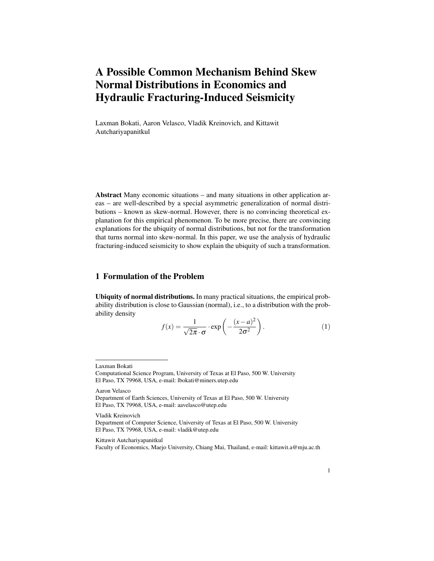# A Possible Common Mechanism Behind Skew Normal Distributions in Economics and Hydraulic Fracturing-Induced Seismicity

Laxman Bokati, Aaron Velasco, Vladik Kreinovich, and Kittawit Autchariyapanitkul

Abstract Many economic situations – and many situations in other application areas – are well-described by a special asymmetric generalization of normal distributions – known as skew-normal. However, there is no convincing theoretical explanation for this empirical phenomenon. To be more precise, there are convincing explanations for the ubiquity of normal distributions, but not for the transformation that turns normal into skew-normal. In this paper, we use the analysis of hydraulic fracturing-induced seismicity to show explain the ubiquity of such a transformation.

## 1 Formulation of the Problem

Ubiquity of normal distributions. In many practical situations, the empirical probability distribution is close to Gaussian (normal), i.e., to a distribution with the probability density

$$
f(x) = \frac{1}{\sqrt{2\pi} \cdot \sigma} \cdot \exp\left(-\frac{(x-a)^2}{2\sigma^2}\right).
$$
 (1)

Aaron Velasco

Vladik Kreinovich

#### Kittawit Autchariyapanitkul

Faculty of Economics, Maejo University, Chiang Mai, Thailand, e-mail: kittawit.a@mju.ac.th

Laxman Bokati

Computational Science Program, University of Texas at El Paso, 500 W. University El Paso, TX 79968, USA, e-mail: lbokati@miners.utep.edu

Department of Earth Sciences, University of Texas at El Paso, 500 W. University El Paso, TX 79968, USA, e-mail: aavelasco@utep.edu

Department of Computer Science, University of Texas at El Paso, 500 W. University El Paso, TX 79968, USA, e-mail: vladik@utep.edu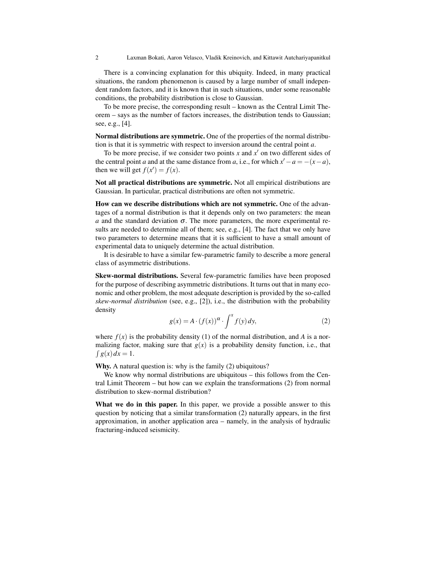2 Laxman Bokati, Aaron Velasco, Vladik Kreinovich, and Kittawit Autchariyapanitkul

There is a convincing explanation for this ubiquity. Indeed, in many practical situations, the random phenomenon is caused by a large number of small independent random factors, and it is known that in such situations, under some reasonable conditions, the probability distribution is close to Gaussian.

To be more precise, the corresponding result – known as the Central Limit Theorem – says as the number of factors increases, the distribution tends to Gaussian; see, e.g., [4].

Normal distributions are symmetric. One of the properties of the normal distribution is that it is symmetric with respect to inversion around the central point *a*.

To be more precise, if we consider two points  $x$  and  $x'$  on two different sides of the central point *a* and at the same distance from *a*, i.e., for which  $x' - a = -(x - a)$ , then we will get  $f(x') = f(x)$ .

Not all practical distributions are symmetric. Not all empirical distributions are Gaussian. In particular, practical distributions are often not symmetric.

How can we describe distributions which are not symmetric. One of the advantages of a normal distribution is that it depends only on two parameters: the mean *a* and the standard deviation  $\sigma$ . The more parameters, the more experimental results are needed to determine all of them; see, e.g., [4]. The fact that we only have two parameters to determine means that it is sufficient to have a small amount of experimental data to uniquely determine the actual distribution.

It is desirable to have a similar few-parametric family to describe a more general class of asymmetric distributions.

Skew-normal distributions. Several few-parametric families have been proposed for the purpose of describing asymmetric distributions. It turns out that in many economic and other problem, the most adequate description is provided by the so-called *skew-normal distribution* (see, e.g., [2]), i.e., the distribution with the probability density

$$
g(x) = A \cdot (f(x))^{\alpha} \cdot \int^x f(y) \, dy,\tag{2}
$$

where  $f(x)$  is the probability density (1) of the normal distribution, and A is a normalizing factor, making sure that  $g(x)$  is a probability density function, i.e., that  $\int g(x) dx = 1.$ 

Why. A natural question is: why is the family (2) ubiquitous?

We know why normal distributions are ubiquitous – this follows from the Central Limit Theorem – but how can we explain the transformations (2) from normal distribution to skew-normal distribution?

What we do in this paper. In this paper, we provide a possible answer to this question by noticing that a similar transformation (2) naturally appears, in the first approximation, in another application area – namely, in the analysis of hydraulic fracturing-induced seismicity.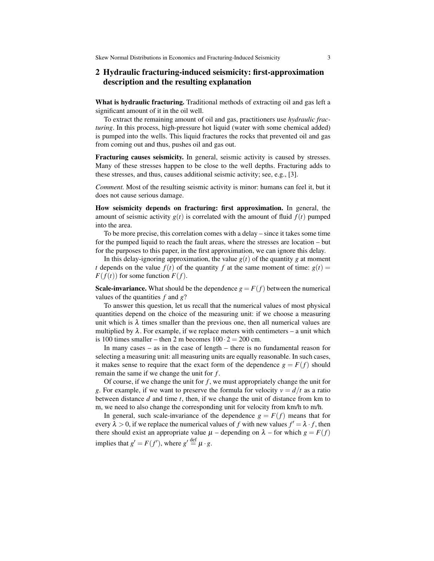### 2 Hydraulic fracturing-induced seismicity: first-approximation description and the resulting explanation

What is hydraulic fracturing. Traditional methods of extracting oil and gas left a significant amount of it in the oil well.

To extract the remaining amount of oil and gas, practitioners use *hydraulic fracturing*. In this process, high-pressure hot liquid (water with some chemical added) is pumped into the wells. This liquid fractures the rocks that prevented oil and gas from coming out and thus, pushes oil and gas out.

Fracturing causes seismicity. In general, seismic activity is caused by stresses. Many of these stresses happen to be close to the well depths. Fracturing adds to these stresses, and thus, causes additional seismic activity; see, e.g., [3].

*Comment.* Most of the resulting seismic activity is minor: humans can feel it, but it does not cause serious damage.

How seismicity depends on fracturing: first approximation. In general, the amount of seismic activity  $g(t)$  is correlated with the amount of fluid  $f(t)$  pumped into the area.

To be more precise, this correlation comes with a delay – since it takes some time for the pumped liquid to reach the fault areas, where the stresses are location – but for the purposes to this paper, in the first approximation, we can ignore this delay.

In this delay-ignoring approximation, the value  $g(t)$  of the quantity g at moment *t* depends on the value  $f(t)$  of the quantity  $f$  at the same moment of time:  $g(t)$  =  $F(f(t))$  for some function  $F(f)$ .

**Scale-invariance.** What should be the dependence  $g = F(f)$  between the numerical values of the quantities *f* and *g*?

To answer this question, let us recall that the numerical values of most physical quantities depend on the choice of the measuring unit: if we choose a measuring unit which is  $\lambda$  times smaller than the previous one, then all numerical values are multiplied by  $\lambda$ . For example, if we replace meters with centimeters – a unit which is 100 times smaller – then 2 m becomes  $100 \cdot 2 = 200$  cm.

In many cases – as in the case of length – there is no fundamental reason for selecting a measuring unit: all measuring units are equally reasonable. In such cases, it makes sense to require that the exact form of the dependence  $g = F(f)$  should remain the same if we change the unit for *f* .

Of course, if we change the unit for  $f$ , we must appropriately change the unit for *g*. For example, if we want to preserve the formula for velocity  $v = d/t$  as a ratio between distance *d* and time *t*, then, if we change the unit of distance from km to m, we need to also change the corresponding unit for velocity from km/h to m/h.

In general, such scale-invariance of the dependence  $g = F(f)$  means that for every  $\lambda > 0$ , if we replace the numerical values of *f* with new values  $f' = \lambda \cdot f$ , then there should exist an appropriate value  $\mu$  – depending on  $\lambda$  – for which  $g = F(f)$ implies that  $g' = F(f')$ , where  $g' \stackrel{\text{def}}{=} \mu \cdot g$ .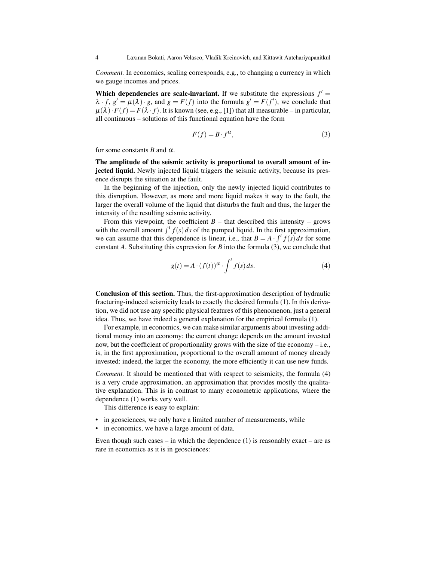*Comment.* In economics, scaling corresponds, e.g., to changing a currency in which we gauge incomes and prices.

Which dependencies are scale-invariant. If we substitute the expressions  $f' =$  $\lambda \cdot f$ ,  $g' = \mu(\lambda) \cdot g$ , and  $g = F(f)$  into the formula  $g' = F(f')$ , we conclude that  $\mu(\lambda) \cdot F(f) = F(\lambda \cdot f)$ . It is known (see, e.g., [1]) that all measurable – in particular, all continuous – solutions of this functional equation have the form

$$
F(f) = B \cdot f^{\alpha},\tag{3}
$$

for some constants *B* and  $\alpha$ .

The amplitude of the seismic activity is proportional to overall amount of injected liquid. Newly injected liquid triggers the seismic activity, because its presence disrupts the situation at the fault.

In the beginning of the injection, only the newly injected liquid contributes to this disruption. However, as more and more liquid makes it way to the fault, the larger the overall volume of the liquid that disturbs the fault and thus, the larger the intensity of the resulting seismic activity.

From this viewpoint, the coefficient  $B$  – that described this intensity – grows with the overall amount  $\int_1^t f(s) ds$  of the pumped liquid. In the first approximation, we can assume that this dependence is linear, i.e., that  $B = A \cdot \int_0^t f(s) ds$  for some constant *A*. Substituting this expression for *B* into the formula (3), we conclude that

$$
g(t) = A \cdot (f(t))^\alpha \cdot \int^t f(s) \, ds. \tag{4}
$$

Conclusion of this section. Thus, the first-approximation description of hydraulic fracturing-induced seismicity leads to exactly the desired formula (1). In this derivation, we did not use any specific physical features of this phenomenon, just a general idea. Thus, we have indeed a general explanation for the empirical formula (1).

For example, in economics, we can make similar arguments about investing additional money into an economy: the current change depends on the amount invested now, but the coefficient of proportionality grows with the size of the economy – i.e., is, in the first approximation, proportional to the overall amount of money already invested: indeed, the larger the economy, the more efficiently it can use new funds.

*Comment.* It should be mentioned that with respect to seismicity, the formula (4) is a very crude approximation, an approximation that provides mostly the qualitative explanation. This is in contrast to many econometric applications, where the dependence (1) works very well.

This difference is easy to explain:

- in geosciences, we only have a limited number of measurements, while
- in economics, we have a large amount of data.

Even though such cases – in which the dependence  $(1)$  is reasonably exact – are as rare in economics as it is in geosciences: